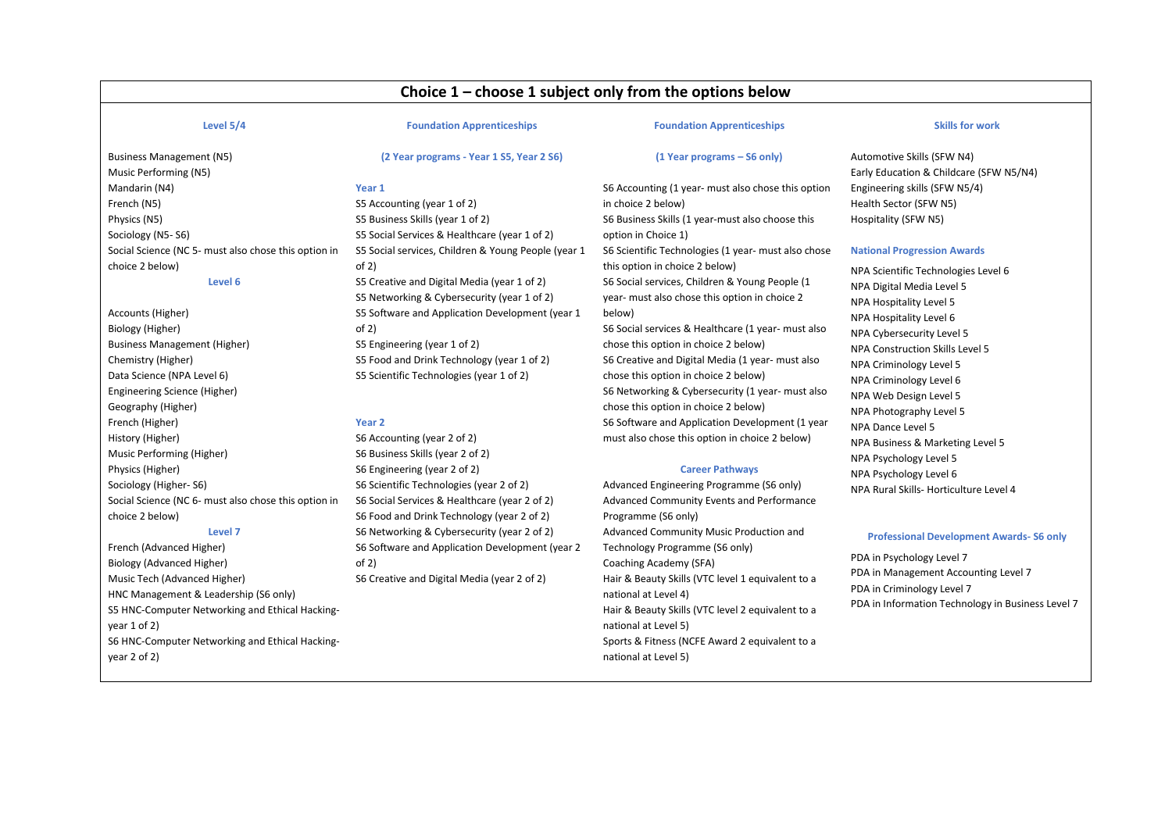# **Choice 1 – choose 1 subject only from the options below**

#### **Level 5/4**

#### **Foundation Apprenticeships**

**(2 Year programs - Year 1 S5, Year 2 S6)**

### **Foundation Apprenticeships**

**(1 Year programs – S6 only)** 

#### **Skills for work**

Business Management (N5) Music Performing (N5) Mandarin (N4) French (N5) Physics (N5) Sociology (N5- S6) Social Science (NC 5- must also chose this option in choice 2 below) **Level 6**

Accounts (Higher) Biology (Higher) Business Management (Higher) Chemistry (Higher) Data Science (NPA Level 6) Engineering Science (Higher) Geography (Higher) French (Higher) History (Higher) Music Performing (Higher) Physics (Higher) Sociology (Higher- S6) Social Science (NC 6- must also chose this option in choice 2 below) **Level 7**

French (Advanced Higher) Biology (Advanced Higher) Music Tech (Advanced Higher) HNC Management & Leadership (S6 only) S5 HNC-Computer Networking and Ethical Hackingyear 1 of 2) S6 HNC-Computer Networking and Ethical Hackingyear 2 of 2)

## **Year 1** S5 Accounting (year 1 of 2) S5 Business Skills (year 1 of 2) S5 Social Services & Healthcare (year 1 of 2) S5 Social services, Children & Young People (year 1 of 2) S5 Creative and Digital Media (year 1 of 2) S5 Networking & Cybersecurity (year 1 of 2) S5 Software and Application Development (year 1 of 2) S5 Engineering (year 1 of 2)

S5 Food and Drink Technology (year 1 of 2) S5 Scientific Technologies (year 1 of 2)

#### **Year 2**

S6 Accounting (year 2 of 2) S6 Business Skills (year 2 of 2) S6 Engineering (year 2 of 2) S6 Food and Drink Technology (year 2 of 2) S6 Networking & Cybersecurity (year 2 of 2) S6 Software and Application Development (year 2  $of 2)$ S6 Creative and Digital Media (year 2 of 2)

S6 Accounting (1 year- must also chose this option in choice 2 below) S6 Business Skills (1 year-must also choose this option in Choice 1) S6 Scientific Technologies (1 year- must also chose this option in choice 2 below) S6 Social services, Children & Young People (1 year- must also chose this option in choice 2 below) S6 Social services & Healthcare (1 year- must also

chose this option in choice 2 below) S6 Creative and Digital Media (1 year- must also chose this option in choice 2 below) S6 Networking & Cybersecurity (1 year- must also chose this option in choice 2 below) S6 Software and Application Development (1 year must also chose this option in choice 2 below)

#### **Career Pathways**

Advanced Engineering Programme (S6 only) Advanced Community Events and Performance Programme (S6 only) Advanced Community Music Production and Technology Programme (S6 only) Coaching Academy (SFA) Hair & Beauty Skills (VTC level 1 equivalent to a national at Level 4) Hair & Beauty Skills (VTC level 2 equivalent to a national at Level 5) Sports & Fitness (NCFE Award 2 equivalent to a national at Level 5)

Automotive Skills (SFW N4) Early Education & Childcare (SFW N5/N4) Engineering skills (SFW N5/4) Health Sector (SFW N5) Hospitality (SFW N5)

#### **National Progression Awards**

NPA Scientific Technologies Level 6 NPA Digital Media Level 5 NPA Hospitality Level 5 NPA Hospitality Level 6 NPA Cybersecurity Level 5 NPA Construction Skills Level 5 NPA Criminology Level 5 NPA Criminology Level 6 NPA Web Design Level 5 NPA Photography Level 5 NPA Dance Level 5 NPA Business & Marketing Level 5 NPA Psychology Level 5 NPA Psychology Level 6 NPA Rural Skills- Horticulture Level 4

#### **Professional Development Awards- S6 only**

PDA in Psychology Level 7 PDA in Management Accounting Level 7 PDA in Criminology Level 7 PDA in Information Technology in Business Level 7

S6 Scientific Technologies (year 2 of 2) S6 Social Services & Healthcare (year 2 of 2)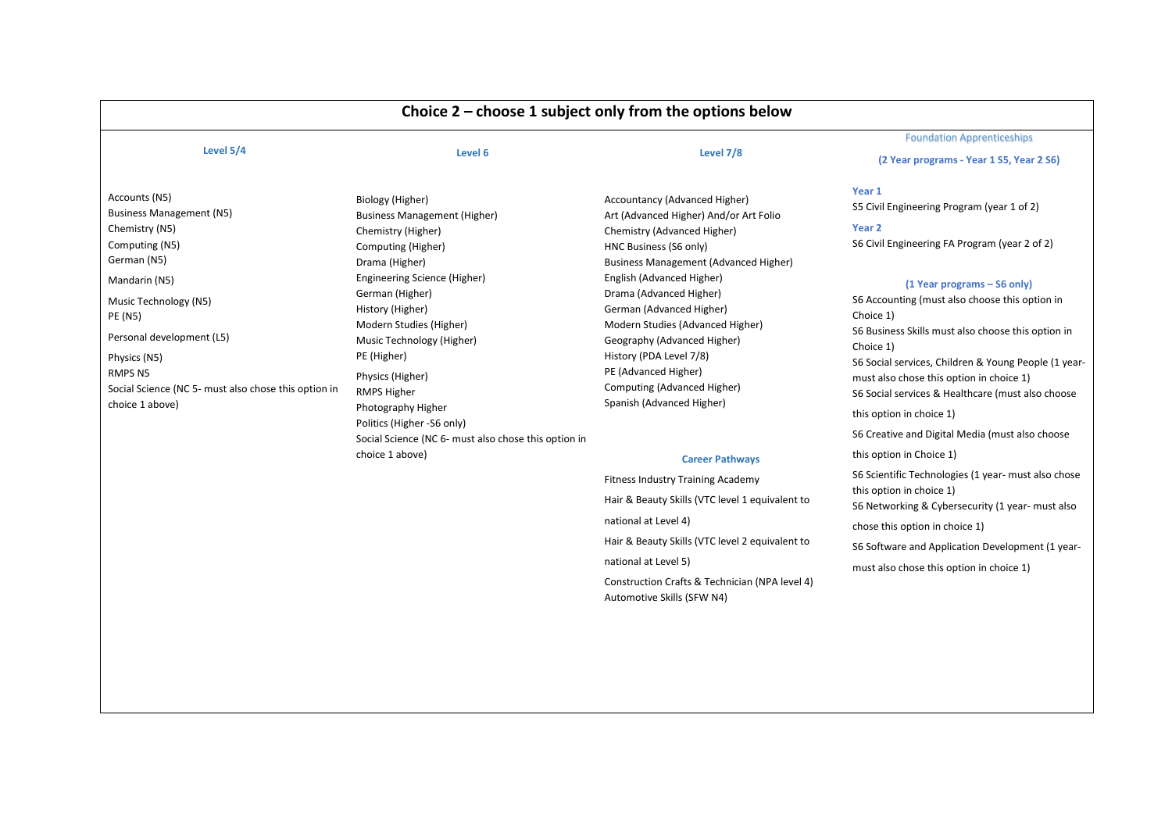|                                                                                                                                                                                                                                                                                                               |                                                                                                                                                                                                                                                                                                                                                            |                                                                                                                                                                                                                                                                                                                                                                                                                                                        | <b>Foundation Apprenticeships</b>                                                                                                                                                                                                                                                                                                                                                                                                                                     |  |
|---------------------------------------------------------------------------------------------------------------------------------------------------------------------------------------------------------------------------------------------------------------------------------------------------------------|------------------------------------------------------------------------------------------------------------------------------------------------------------------------------------------------------------------------------------------------------------------------------------------------------------------------------------------------------------|--------------------------------------------------------------------------------------------------------------------------------------------------------------------------------------------------------------------------------------------------------------------------------------------------------------------------------------------------------------------------------------------------------------------------------------------------------|-----------------------------------------------------------------------------------------------------------------------------------------------------------------------------------------------------------------------------------------------------------------------------------------------------------------------------------------------------------------------------------------------------------------------------------------------------------------------|--|
| Level 5/4                                                                                                                                                                                                                                                                                                     | Level 6                                                                                                                                                                                                                                                                                                                                                    | Level 7/8                                                                                                                                                                                                                                                                                                                                                                                                                                              | (2 Year programs - Year 1 S5, Year 2 S6)                                                                                                                                                                                                                                                                                                                                                                                                                              |  |
| Accounts (N5)<br><b>Business Management (N5)</b><br>Chemistry (N5)<br>Computing (N5)<br>German (N5)<br>Mandarin (N5)<br>Music Technology (N5)<br><b>PE (N5)</b><br>Personal development (L5)<br>Physics (N5)<br>RMPS <sub>N5</sub><br>Social Science (NC 5- must also chose this option in<br>choice 1 above) | Biology (Higher)<br><b>Business Management (Higher)</b><br>Chemistry (Higher)<br>Computing (Higher)<br>Drama (Higher)<br>Engineering Science (Higher)<br>German (Higher)<br>History (Higher)<br>Modern Studies (Higher)<br>Music Technology (Higher)<br>PE (Higher)<br>Physics (Higher)<br>RMPS Higher<br>Photography Higher<br>Politics (Higher -S6 only) | Accountancy (Advanced Higher)<br>Art (Advanced Higher) And/or Art Folio<br>Chemistry (Advanced Higher)<br>HNC Business (S6 only)<br><b>Business Management (Advanced Higher)</b><br>English (Advanced Higher)<br>Drama (Advanced Higher)<br>German (Advanced Higher)<br>Modern Studies (Advanced Higher)<br>Geography (Advanced Higher)<br>History (PDA Level 7/8)<br>PE (Advanced Higher)<br>Computing (Advanced Higher)<br>Spanish (Advanced Higher) | Year 1<br>S5 Civil Engineering Program (year 1 of 2)<br>Year 2<br>S6 Civil Engineering FA Program (year 2 of 2)<br>(1 Year programs – S6 only)<br>S6 Accounting (must also choose this option in<br>Choice 1)<br>S6 Business Skills must also choose this option in<br>Choice 1)<br>S6 Social services, Children & Young People (1 year-<br>must also chose this option in choice 1)<br>S6 Social services & Healthcare (must also choose<br>this option in choice 1) |  |
|                                                                                                                                                                                                                                                                                                               | Social Science (NC 6- must also chose this option in                                                                                                                                                                                                                                                                                                       |                                                                                                                                                                                                                                                                                                                                                                                                                                                        | S6 Creative and Digital Media (must also choose                                                                                                                                                                                                                                                                                                                                                                                                                       |  |
|                                                                                                                                                                                                                                                                                                               | choice 1 above)                                                                                                                                                                                                                                                                                                                                            | <b>Career Pathways</b><br><b>Fitness Industry Training Academy</b><br>Hair & Beauty Skills (VTC level 1 equivalent to<br>national at Level 4)<br>Hair & Beauty Skills (VTC level 2 equivalent to<br>national at Level 5)<br>Construction Crafts & Technician (NPA level 4)<br>Automotive Skills (SFW N4)                                                                                                                                               | this option in Choice 1)<br>S6 Scientific Technologies (1 year- must also chose<br>this option in choice 1)<br>S6 Networking & Cybersecurity (1 year- must also<br>chose this option in choice 1)<br>S6 Software and Application Development (1 year-<br>must also chose this option in choice 1)                                                                                                                                                                     |  |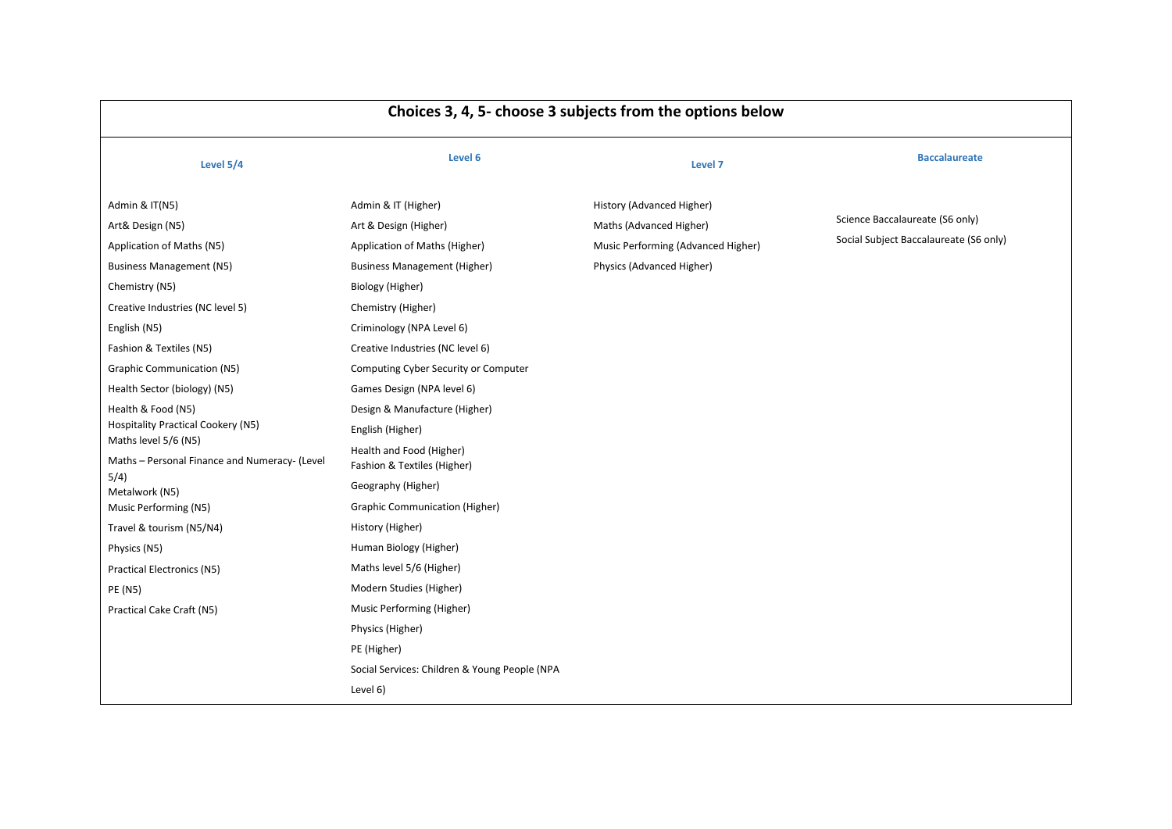| Choices 3, 4, 5- choose 3 subjects from the options below                                                                                                                                                                                                                                                                                                                                                                                                                                                                                                                                 |                                                                                                                                                                                                                                                                                                                                                                                                                                                                                                                                                                                                                                                                                                            |                                                                                                                         |                                                                           |
|-------------------------------------------------------------------------------------------------------------------------------------------------------------------------------------------------------------------------------------------------------------------------------------------------------------------------------------------------------------------------------------------------------------------------------------------------------------------------------------------------------------------------------------------------------------------------------------------|------------------------------------------------------------------------------------------------------------------------------------------------------------------------------------------------------------------------------------------------------------------------------------------------------------------------------------------------------------------------------------------------------------------------------------------------------------------------------------------------------------------------------------------------------------------------------------------------------------------------------------------------------------------------------------------------------------|-------------------------------------------------------------------------------------------------------------------------|---------------------------------------------------------------------------|
| Level 5/4                                                                                                                                                                                                                                                                                                                                                                                                                                                                                                                                                                                 | Level 6                                                                                                                                                                                                                                                                                                                                                                                                                                                                                                                                                                                                                                                                                                    | Level 7                                                                                                                 | <b>Baccalaureate</b>                                                      |
| Admin & IT(N5)<br>Art& Design (N5)<br>Application of Maths (N5)<br><b>Business Management (N5)</b><br>Chemistry (N5)<br>Creative Industries (NC level 5)<br>English (N5)<br>Fashion & Textiles (N5)<br>Graphic Communication (N5)<br>Health Sector (biology) (N5)<br>Health & Food (N5)<br><b>Hospitality Practical Cookery (N5)</b><br>Maths level 5/6 (N5)<br>Maths - Personal Finance and Numeracy- (Level<br>5/4)<br>Metalwork (N5)<br>Music Performing (N5)<br>Travel & tourism (N5/N4)<br>Physics (N5)<br><b>Practical Electronics (N5)</b><br>PE (N5)<br>Practical Cake Craft (N5) | Admin & IT (Higher)<br>Art & Design (Higher)<br>Application of Maths (Higher)<br><b>Business Management (Higher)</b><br>Biology (Higher)<br>Chemistry (Higher)<br>Criminology (NPA Level 6)<br>Creative Industries (NC level 6)<br>Computing Cyber Security or Computer<br>Games Design (NPA level 6)<br>Design & Manufacture (Higher)<br>English (Higher)<br>Health and Food (Higher)<br>Fashion & Textiles (Higher)<br>Geography (Higher)<br><b>Graphic Communication (Higher)</b><br>History (Higher)<br>Human Biology (Higher)<br>Maths level 5/6 (Higher)<br>Modern Studies (Higher)<br>Music Performing (Higher)<br>Physics (Higher)<br>PE (Higher)<br>Social Services: Children & Young People (NPA | History (Advanced Higher)<br>Maths (Advanced Higher)<br>Music Performing (Advanced Higher)<br>Physics (Advanced Higher) | Science Baccalaureate (S6 only)<br>Social Subject Baccalaureate (S6 only) |
|                                                                                                                                                                                                                                                                                                                                                                                                                                                                                                                                                                                           | Level 6)                                                                                                                                                                                                                                                                                                                                                                                                                                                                                                                                                                                                                                                                                                   |                                                                                                                         |                                                                           |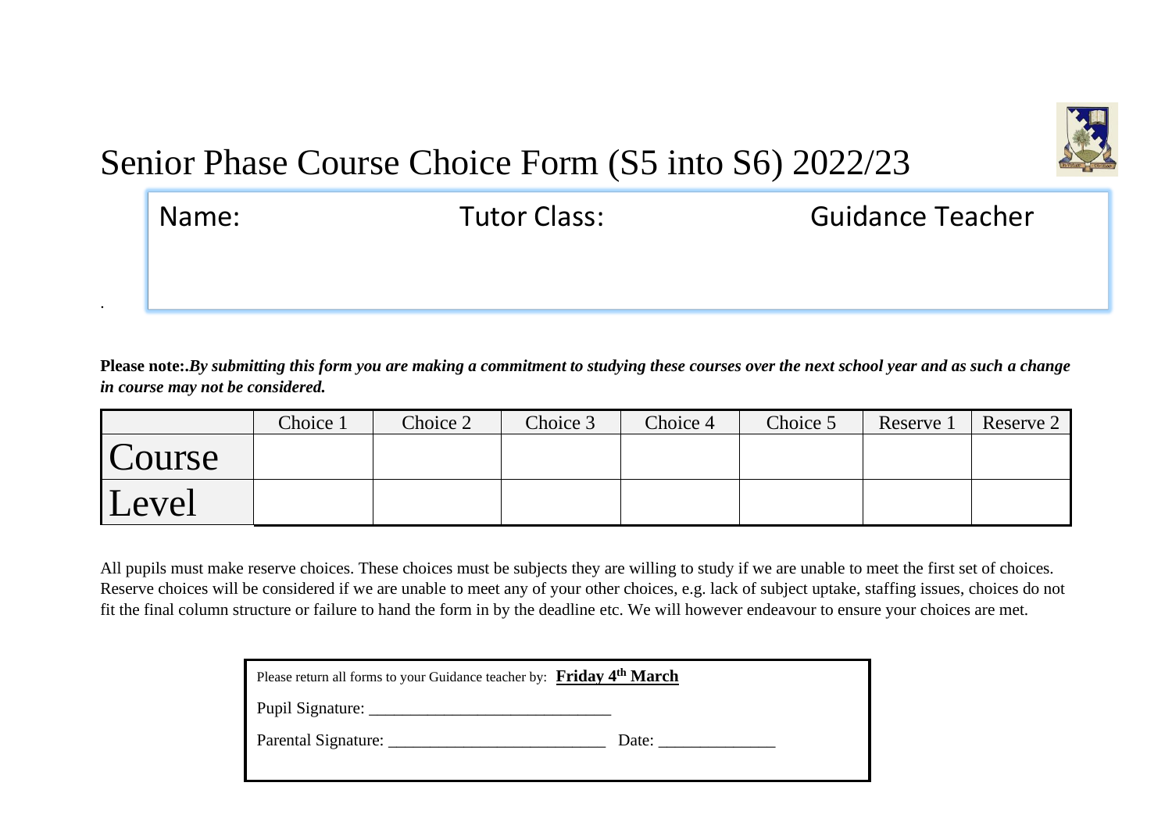

# Senior Phase Course Choice Form (S5 into S6) 2022/23

| Name: | <b>Tutor Class:</b> | <b>Guidance Teacher</b> |  |  |
|-------|---------------------|-------------------------|--|--|
|       |                     |                         |  |  |
|       |                     |                         |  |  |

**Please note:.***By submitting this form you are making a commitment to studying these courses over the next school year and as such a change in course may not be considered.*

|        | Choice 1 | Choice 2 | Choice 3 | Choice 4 | Choice 5 | Reserve 1 | Reserve $2 \mid$ |
|--------|----------|----------|----------|----------|----------|-----------|------------------|
| Course |          |          |          |          |          |           |                  |
| Level  |          |          |          |          |          |           |                  |

All pupils must make reserve choices. These choices must be subjects they are willing to study if we are unable to meet the first set of choices. Reserve choices will be considered if we are unable to meet any of your other choices, e.g. lack of subject uptake, staffing issues, choices do not fit the final column structure or failure to hand the form in by the deadline etc. We will however endeavour to ensure your choices are met.

| Please return all forms to your Guidance teacher by: Friday 4 <sup>th</sup> March |       |  |
|-----------------------------------------------------------------------------------|-------|--|
| <b>Pupil Signature:</b>                                                           |       |  |
| Parental Signature:                                                               | Date: |  |